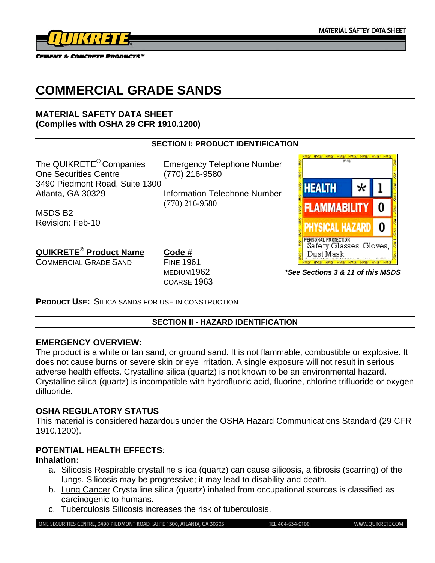

# **COMMERCIAL GRADE SANDS**

## **MATERIAL SAFETY DATA SHEET (Complies with OSHA 29 CFR 1910.1200)**

## **SECTION I: PRODUCT IDENTIFICATION**

The QUIKRETE<sup>®</sup> Companies Emergency Telephone Number One Securities Centre (770) 216-9580 3490 Piedmont Road, Suite 1300 Atlanta, GA 30329 Information Telephone Number

(770) 216-9580

MSDS B2 Revision: Feb-10

**QUIKRETE® Product Name Code #**

COMMERCIAL GRADE SAND FINE 1961

COARSE 1963



MEDIUM1962 *\*See Sections 3 & 11 of this MSDS* 

**PRODUCT USE:** SILICA SANDS FOR USE IN CONSTRUCTION

# **SECTION II - HAZARD IDENTIFICATION**

# **EMERGENCY OVERVIEW:**

The product is a white or tan sand, or ground sand. It is not flammable, combustible or explosive. It does not cause burns or severe skin or eye irritation. A single exposure will not result in serious adverse health effects. Crystalline silica (quartz) is not known to be an environmental hazard. Crystalline silica (quartz) is incompatible with hydrofluoric acid, fluorine, chlorine trifluoride or oxygen difluoride.

# **OSHA REGULATORY STATUS**

This material is considered hazardous under the OSHA Hazard Communications Standard (29 CFR 1910.1200).

# **POTENTIAL HEALTH EFFECTS**:

# **Inhalation:**

- a. Silicosis Respirable crystalline silica (quartz) can cause silicosis, a fibrosis (scarring) of the lungs. Silicosis may be progressive; it may lead to disability and death.
- b. Lung Cancer Crystalline silica (quartz) inhaled from occupational sources is classified as carcinogenic to humans.
- c. Tuberculosis Silicosis increases the risk of tuberculosis.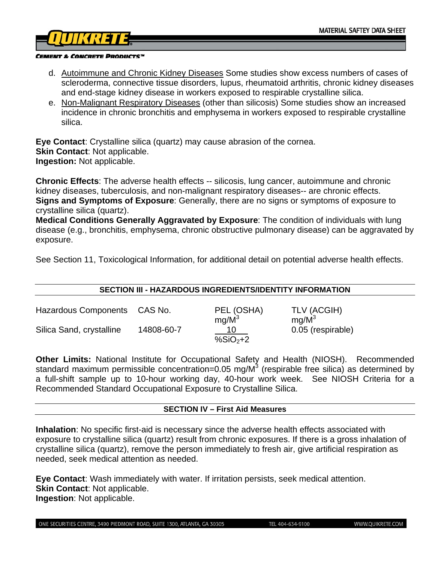

- d. Autoimmune and Chronic Kidney Diseases Some studies show excess numbers of cases of scleroderma, connective tissue disorders, lupus, rheumatoid arthritis, chronic kidney diseases and end-stage kidney disease in workers exposed to respirable crystalline silica.
- e. Non-Malignant Respiratory Diseases (other than silicosis) Some studies show an increased incidence in chronic bronchitis and emphysema in workers exposed to respirable crystalline silica.

**Eye Contact**: Crystalline silica (quartz) may cause abrasion of the cornea. **Skin Contact: Not applicable. Ingestion:** Not applicable.

**Chronic Effects**: The adverse health effects -- silicosis, lung cancer, autoimmune and chronic kidney diseases, tuberculosis, and non-malignant respiratory diseases-- are chronic effects. **Signs and Symptoms of Exposure**: Generally, there are no signs or symptoms of exposure to crystalline silica (quartz).

**Medical Conditions Generally Aggravated by Exposure**: The condition of individuals with lung disease (e.g., bronchitis, emphysema, chronic obstructive pulmonary disease) can be aggravated by exposure.

See Section 11, Toxicological Information, for additional detail on potential adverse health effects.

#### **SECTION III - HAZARDOUS INGREDIENTS/IDENTITY INFORMATION**

| <b>Hazardous Components</b> | CAS No.    | PEL (OSHA) | TLV (ACGIH)       |
|-----------------------------|------------|------------|-------------------|
|                             |            | $ma/M^3$   | $ma/M^3$          |
| Silica Sand, crystalline    | 14808-60-7 |            | 0.05 (respirable) |
|                             |            | % $SiO2+2$ |                   |

**Other Limits:** National Institute for Occupational Safety and Health (NIOSH). Recommended standard maximum permissible concentration=0.05 mg/M<sup>3</sup> (respirable free silica) as determined by a full-shift sample up to 10-hour working day, 40-hour work week. See NIOSH Criteria for a Recommended Standard Occupational Exposure to Crystalline Silica.

### **SECTION IV – First Aid Measures**

**Inhalation**: No specific first-aid is necessary since the adverse health effects associated with exposure to crystalline silica (quartz) result from chronic exposures. If there is a gross inhalation of crystalline silica (quartz), remove the person immediately to fresh air, give artificial respiration as needed, seek medical attention as needed.

**Eye Contact**: Wash immediately with water. If irritation persists, seek medical attention. **Skin Contact**: Not applicable. **Ingestion**: Not applicable.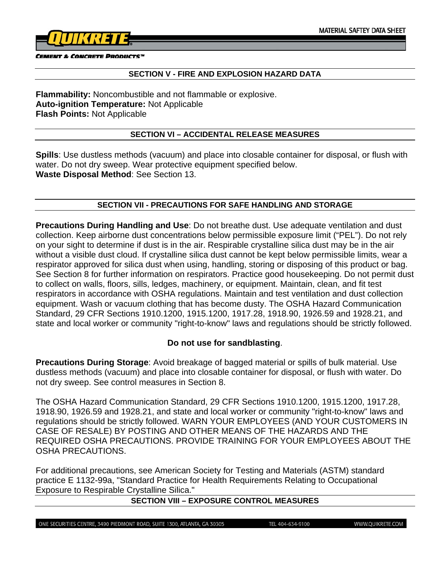

#### **SECTION V - FIRE AND EXPLOSION HAZARD DATA**

**Flammability:** Noncombustible and not flammable or explosive. **Auto-ignition Temperature:** Not Applicable **Flash Points:** Not Applicable

## **SECTION VI – ACCIDENTAL RELEASE MEASURES**

**Spills**: Use dustless methods (vacuum) and place into closable container for disposal, or flush with water. Do not dry sweep. Wear protective equipment specified below. **Waste Disposal Method**: See Section 13.

## **SECTION VII - PRECAUTIONS FOR SAFE HANDLING AND STORAGE**

**Precautions During Handling and Use**: Do not breathe dust. Use adequate ventilation and dust collection. Keep airborne dust concentrations below permissible exposure limit ("PEL"). Do not rely on your sight to determine if dust is in the air. Respirable crystalline silica dust may be in the air without a visible dust cloud. If crystalline silica dust cannot be kept below permissible limits, wear a respirator approved for silica dust when using, handling, storing or disposing of this product or bag. See Section 8 for further information on respirators. Practice good housekeeping. Do not permit dust to collect on walls, floors, sills, ledges, machinery, or equipment. Maintain, clean, and fit test respirators in accordance with OSHA regulations. Maintain and test ventilation and dust collection equipment. Wash or vacuum clothing that has become dusty. The OSHA Hazard Communication Standard, 29 CFR Sections 1910.1200, 1915.1200, 1917.28, 1918.90, 1926.59 and 1928.21, and state and local worker or community "right-to-know" laws and regulations should be strictly followed.

## **Do not use for sandblasting**.

**Precautions During Storage**: Avoid breakage of bagged material or spills of bulk material. Use dustless methods (vacuum) and place into closable container for disposal, or flush with water. Do not dry sweep. See control measures in Section 8.

The OSHA Hazard Communication Standard, 29 CFR Sections 1910.1200, 1915.1200, 1917.28, 1918.90, 1926.59 and 1928.21, and state and local worker or community "right-to-know" laws and regulations should be strictly followed. WARN YOUR EMPLOYEES (AND YOUR CUSTOMERS IN CASE OF RESALE) BY POSTING AND OTHER MEANS OF THE HAZARDS AND THE REQUIRED OSHA PRECAUTIONS. PROVIDE TRAINING FOR YOUR EMPLOYEES ABOUT THE OSHA PRECAUTIONS.

For additional precautions, see American Society for Testing and Materials (ASTM) standard practice E 1132-99a, "Standard Practice for Health Requirements Relating to Occupational Exposure to Respirable Crystalline Silica."

# **SECTION VIII – EXPOSURE CONTROL MEASURES**

ONE SECURITIES CENTRE, 3490 PIEDMONT ROAD, SUITE 1300, ATLANTA, GA 30305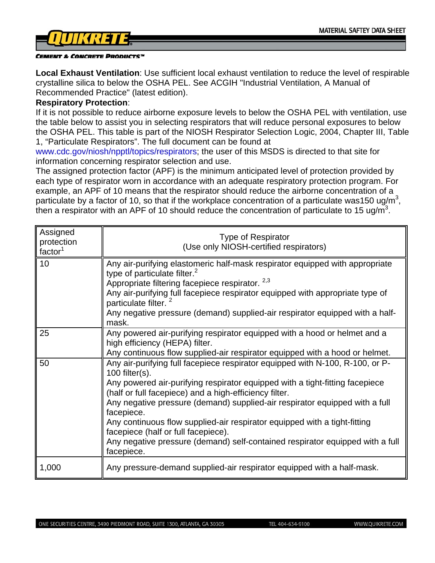

**Local Exhaust Ventilation**: Use sufficient local exhaust ventilation to reduce the level of respirable crystalline silica to below the OSHA PEL. See ACGIH "Industrial Ventilation, A Manual of Recommended Practice" (latest edition).

#### **Respiratory Protection**:

If it is not possible to reduce airborne exposure levels to below the OSHA PEL with ventilation, use the table below to assist you in selecting respirators that will reduce personal exposures to below the OSHA PEL. This table is part of the NIOSH Respirator Selection Logic, 2004, Chapter III, Table 1, "Particulate Respirators". The full document can be found at

www.cdc.gov/niosh/npptl/topics/respirators; the user of this MSDS is directed to that site for information concerning respirator selection and use.

The assigned protection factor (APF) is the minimum anticipated level of protection provided by each type of respirator worn in accordance with an adequate respiratory protection program. For example, an APF of 10 means that the respirator should reduce the airborne concentration of a particulate by a factor of 10, so that if the workplace concentration of a particulate was150 ug/m<sup>3</sup>, then a respirator with an APF of 10 should reduce the concentration of particulate to 15 ug/m<sup>3</sup>.

| Assigned<br>protection<br>factor $1$ | Type of Respirator<br>(Use only NIOSH-certified respirators)                                                                                                                                                                                                                                                                                                                                                                                                                                                                                                  |
|--------------------------------------|---------------------------------------------------------------------------------------------------------------------------------------------------------------------------------------------------------------------------------------------------------------------------------------------------------------------------------------------------------------------------------------------------------------------------------------------------------------------------------------------------------------------------------------------------------------|
| 10                                   | Any air-purifying elastomeric half-mask respirator equipped with appropriate<br>type of particulate filter. $2$<br>Appropriate filtering facepiece respirator. <sup>2,3</sup><br>Any air-purifying full facepiece respirator equipped with appropriate type of<br>particulate filter.<br>Any negative pressure (demand) supplied-air respirator equipped with a half-<br>mask.                                                                                                                                                                                |
| 25                                   | Any powered air-purifying respirator equipped with a hood or helmet and a<br>high efficiency (HEPA) filter.<br>Any continuous flow supplied-air respirator equipped with a hood or helmet.                                                                                                                                                                                                                                                                                                                                                                    |
| 50                                   | Any air-purifying full facepiece respirator equipped with N-100, R-100, or P-<br>100 filter $(s)$ .<br>Any powered air-purifying respirator equipped with a tight-fitting facepiece<br>(half or full facepiece) and a high-efficiency filter.<br>Any negative pressure (demand) supplied-air respirator equipped with a full<br>facepiece.<br>Any continuous flow supplied-air respirator equipped with a tight-fitting<br>facepiece (half or full facepiece).<br>Any negative pressure (demand) self-contained respirator equipped with a full<br>facepiece. |
| 1,000                                | Any pressure-demand supplied-air respirator equipped with a half-mask.                                                                                                                                                                                                                                                                                                                                                                                                                                                                                        |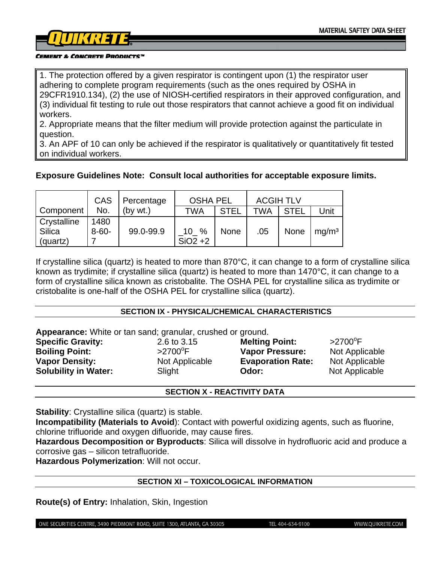1. The protection offered by a given respirator is contingent upon (1) the respirator user adhering to complete program requirements (such as the ones required by OSHA in 29CFR1910.134), (2) the use of NIOSH-certified respirators in their approved configuration, and (3) individual fit testing to rule out those respirators that cannot achieve a good fit on individual workers.

2. Appropriate means that the filter medium will provide protection against the particulate in question.

3. An APF of 10 can only be achieved if the respirator is qualitatively or quantitatively fit tested on individual workers.

# **Exposure Guidelines Note: Consult local authorities for acceptable exposure limits.**

|             | CAS        | Percentage | <b>OSHA PEL</b> |             | <b>ACGIH TLV</b> |             |                   |
|-------------|------------|------------|-----------------|-------------|------------------|-------------|-------------------|
| Component   | No.        | (bv wt.)   | TWA             | <b>STEL</b> | <b>TWA</b>       | <b>STEL</b> | Unit              |
| Crystalline | 1480       |            |                 |             |                  |             |                   |
| Silica      | $8 - 60 -$ | 99.0-99.9  | $10^{9}$        | <b>None</b> | .05              | None        | mq/m <sup>3</sup> |
| (quartz)    |            |            | $SiO2 + 2$      |             |                  |             |                   |

If crystalline silica (quartz) is heated to more than 870°C, it can change to a form of crystalline silica known as trydimite; if crystalline silica (quartz) is heated to more than 1470°C, it can change to a form of crystalline silica known as cristobalite. The OSHA PEL for crystalline silica as trydimite or cristobalite is one-half of the OSHA PEL for crystalline silica (quartz).

### **SECTION IX - PHYSICAL/CHEMICAL CHARACTERISTICS**

**Appearance:** White or tan sand; granular, crushed or ground. **Specific Gravity:** 2.6 to 3.15 **Melting Point:**  $>2700$ <sup>o</sup>F **Boiling Point:**  $>2700^{\circ}$ F **Vapor Pressure:** Not Applicable **Vapor Density: Not Applicable <b>Evaporation Rate:** Not Applicable **Not Applicable Solubility in Water:** Slight **Odor:** Not Applicable

### **SECTION X - REACTIVITY DATA**

**Stability:** Crystalline silica (quartz) is stable.

**Incompatibility (Materials to Avoid**): Contact with powerful oxidizing agents, such as fluorine, chlorine trifluoride and oxygen difluoride, may cause fires.

**Hazardous Decomposition or Byproducts**: Silica will dissolve in hydrofluoric acid and produce a corrosive gas – silicon tetrafluoride.

**Hazardous Polymerization**: Will not occur.

## **SECTION XI – TOXICOLOGICAL INFORMATION**

**Route(s) of Entry:** Inhalation, Skin, Ingestion

ONE SECURITIES CENTRE, 3490 PIEDMONT ROAD, SUITE 1300, ATLANTA, GA 30305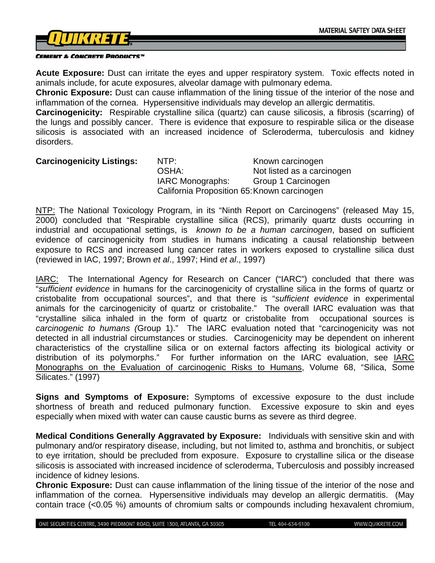

**Acute Exposure:** Dust can irritate the eyes and upper respiratory system. Toxic effects noted in animals include, for acute exposures, alveolar damage with pulmonary edema.

**Chronic Exposure:** Dust can cause inflammation of the lining tissue of the interior of the nose and inflammation of the cornea. Hypersensitive individuals may develop an allergic dermatitis.

**Carcinogenicity:** Respirable crystalline silica (quartz) can cause silicosis, a fibrosis (scarring) of the lungs and possibly cancer. There is evidence that exposure to respirable silica or the disease silicosis is associated with an increased incidence of Scleroderma, tuberculosis and kidney disorders.

**Carcinogenicity Listings:** NTP: Known carcinogen OSHA: Not listed as a carcinogen IARC Monographs: Group 1 Carcinogen California Proposition 65: Known carcinogen

NTP: The National Toxicology Program, in its "Ninth Report on Carcinogens" (released May 15, 2000) concluded that "Respirable crystalline silica (RCS), primarily quartz dusts occurring in industrial and occupational settings, is *known to be a human carcinogen*, based on sufficient evidence of carcinogenicity from studies in humans indicating a causal relationship between exposure to RCS and increased lung cancer rates in workers exposed to crystalline silica dust (reviewed in IAC, 1997; Brown *et al*., 1997; Hind *et al*., 1997)

IARC: The International Agency for Research on Cancer ("IARC") concluded that there was "*sufficient evidence* in humans for the carcinogenicity of crystalline silica in the forms of quartz or cristobalite from occupational sources", and that there is "*sufficient evidence* in experimental animals for the carcinogenicity of quartz or cristobalite." The overall IARC evaluation was that "crystalline silica inhaled in the form of quartz or cristobalite from occupational sources is *carcinogenic to humans (*Group 1)." The IARC evaluation noted that "carcinogenicity was not detected in all industrial circumstances or studies. Carcinogenicity may be dependent on inherent characteristics of the crystalline silica or on external factors affecting its biological activity or distribution of its polymorphs." For further information on the IARC evaluation, see IARC Monographs on the Evaluation of carcinogenic Risks to Humans, Volume 68, "Silica, Some Silicates." (1997)

**Signs and Symptoms of Exposure:** Symptoms of excessive exposure to the dust include shortness of breath and reduced pulmonary function. Excessive exposure to skin and eyes especially when mixed with water can cause caustic burns as severe as third degree.

**Medical Conditions Generally Aggravated by Exposure:** Individuals with sensitive skin and with pulmonary and/or respiratory disease, including, but not limited to, asthma and bronchitis, or subject to eye irritation, should be precluded from exposure. Exposure to crystalline silica or the disease silicosis is associated with increased incidence of scleroderma, Tuberculosis and possibly increased incidence of kidney lesions.

**Chronic Exposure:** Dust can cause inflammation of the lining tissue of the interior of the nose and inflammation of the cornea. Hypersensitive individuals may develop an allergic dermatitis. (May contain trace (<0.05 %) amounts of chromium salts or compounds including hexavalent chromium,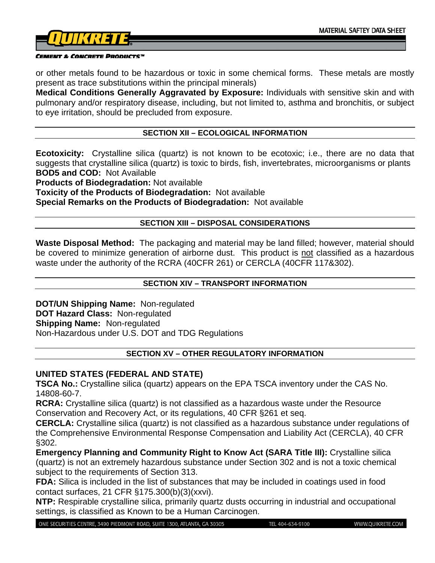

or other metals found to be hazardous or toxic in some chemical forms. These metals are mostly present as trace substitutions within the principal minerals)

**Medical Conditions Generally Aggravated by Exposure:** Individuals with sensitive skin and with pulmonary and/or respiratory disease, including, but not limited to, asthma and bronchitis, or subject to eye irritation, should be precluded from exposure.

## **SECTION XII – ECOLOGICAL INFORMATION**

**Ecotoxicity:** Crystalline silica (quartz) is not known to be ecotoxic; i.e., there are no data that suggests that crystalline silica (quartz) is toxic to birds, fish, invertebrates, microorganisms or plants **BOD5 and COD:** Not Available

**Products of Biodegradation:** Not available

**Toxicity of the Products of Biodegradation:** Not available **Special Remarks on the Products of Biodegradation:** Not available

### **SECTION XIII – DISPOSAL CONSIDERATIONS**

**Waste Disposal Method:** The packaging and material may be land filled; however, material should be covered to minimize generation of airborne dust. This product is not classified as a hazardous waste under the authority of the RCRA (40CFR 261) or CERCLA (40CFR 117&302).

### **SECTION XIV – TRANSPORT INFORMATION**

**DOT/UN Shipping Name:** Non-regulated **DOT Hazard Class:** Non-regulated **Shipping Name:** Non-regulated Non-Hazardous under U.S. DOT and TDG Regulations

## **SECTION XV – OTHER REGULATORY INFORMATION**

### **UNITED STATES (FEDERAL AND STATE)**

**TSCA No.:** Crystalline silica (quartz) appears on the EPA TSCA inventory under the CAS No. 14808-60-7.

**RCRA:** Crystalline silica (quartz) is not classified as a hazardous waste under the Resource Conservation and Recovery Act, or its regulations, 40 CFR §261 et seq.

**CERCLA:** Crystalline silica (quartz) is not classified as a hazardous substance under regulations of the Comprehensive Environmental Response Compensation and Liability Act (CERCLA), 40 CFR §302.

**Emergency Planning and Community Right to Know Act (SARA Title III):** Crystalline silica (quartz) is not an extremely hazardous substance under Section 302 and is not a toxic chemical subject to the requirements of Section 313.

**FDA:** Silica is included in the list of substances that may be included in coatings used in food contact surfaces, 21 CFR §175.300(b)(3)(xxvi).

**NTP:** Respirable crystalline silica, primarily quartz dusts occurring in industrial and occupational settings, is classified as Known to be a Human Carcinogen.

ONE SECURITIES CENTRE, 3490 PIEDMONT ROAD, SUITE 1300, ATLANTA, GA 30305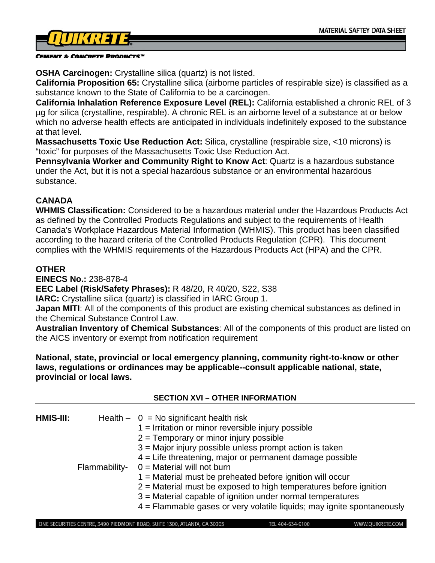

**OSHA Carcinogen:** Crystalline silica (quartz) is not listed.

**California Proposition 65:** Crystalline silica (airborne particles of respirable size) is classified as a substance known to the State of California to be a carcinogen.

**California Inhalation Reference Exposure Level (REL):** California established a chronic REL of 3 µg for silica (crystalline, respirable). A chronic REL is an airborne level of a substance at or below which no adverse health effects are anticipated in individuals indefinitely exposed to the substance at that level.

**Massachusetts Toxic Use Reduction Act:** Silica, crystalline (respirable size, <10 microns) is "toxic" for purposes of the Massachusetts Toxic Use Reduction Act.

**Pennsylvania Worker and Community Right to Know Act**: Quartz is a hazardous substance under the Act, but it is not a special hazardous substance or an environmental hazardous substance.

# **CANADA**

**WHMIS Classification:** Considered to be a hazardous material under the Hazardous Products Act as defined by the Controlled Products Regulations and subject to the requirements of Health Canada's Workplace Hazardous Material Information (WHMIS). This product has been classified according to the hazard criteria of the Controlled Products Regulation (CPR). This document complies with the WHMIS requirements of the Hazardous Products Act (HPA) and the CPR.

# **OTHER**

**EINECS No.:** 238-878-4

**EEC Label (Risk/Safety Phrases):** R 48/20, R 40/20, S22, S38

**IARC:** Crystalline silica (quartz) is classified in IARC Group 1.

**Japan MITI:** All of the components of this product are existing chemical substances as defined in the Chemical Substance Control Law.

**Australian Inventory of Chemical Substances**: All of the components of this product are listed on the AICS inventory or exempt from notification requirement

**National, state, provincial or local emergency planning, community right-to-know or other laws, regulations or ordinances may be applicable--consult applicable national, state, provincial or local laws.**

| $HMIS-III:$ | Flammability- | <b>SECTION XVI - OTHER INFORMATION</b><br>Health $- 0 = No$ significant health risk<br>$1 =$ Irritation or minor reversible injury possible<br>$2$ = Temporary or minor injury possible<br>$3$ = Major injury possible unless prompt action is taken<br>$4$ = Life threatening, major or permanent damage possible<br>$0 =$ Material will not burn<br>$1 =$ Material must be preheated before ignition will occur<br>$2$ = Material must be exposed to high temperatures before ignition |
|-------------|---------------|------------------------------------------------------------------------------------------------------------------------------------------------------------------------------------------------------------------------------------------------------------------------------------------------------------------------------------------------------------------------------------------------------------------------------------------------------------------------------------------|
|             |               | 3 = Material capable of ignition under normal temperatures<br>$4$ = Flammable gases or very volatile liquids; may ignite spontaneously                                                                                                                                                                                                                                                                                                                                                   |